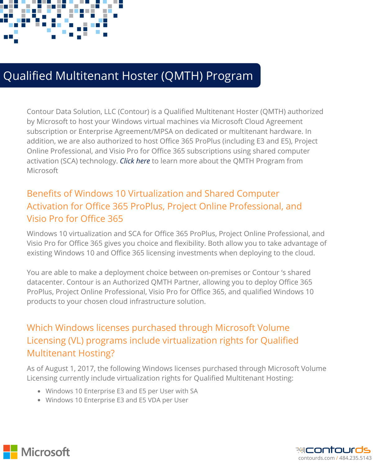

# Qualified Multitenant Hoster (QMTH) Program

Contour Data Solution, LLC (Contour) is a Qualified Multitenant Hoster (QMTH) authorized by Microsoft to host your Windows virtual machines via Microsoft Cloud Agreement subscription or Enterprise [Agreement/MPSA](https://www.microsoft.com/en-us/CloudandHosting/licensing_sca.aspx) on dedicated or multitenant hardware. In addition, we are also authorized to host Office 365 ProPlus (including E3 and E5), Project Online Professional, and Visio Pro for Office 365 subscriptions using shared computer activation (SCA) technology. *Click here* to learn more about the QMTH Program from Microsoft

### Benefits of Windows 10 Virtualization and Shared Computer Activation for Office 365 ProPlus, Project Online Professional, and Visio Pro for Office 365

Windows 10 virtualization and SCA for Office 365 ProPlus, Project Online Professional, and Visio Pro for Office 365 gives you choice and flexibility. Both allow you to take advantage of existing Windows 10 and Office 365 licensing investments when deploying to the cloud.

You are able to make a deployment choice between on-premises or Contour 's shared datacenter. Contour is an Authorized QMTH Partner, allowing you to deploy Office 365 ProPlus, Project Online Professional, Visio Pro for Office 365, and qualified Windows 10 products to your chosen cloud infrastructure solution.

## Which Windows licenses purchased through Microsoft Volume Licensing (VL) programs include virtualization rights for Qualified Multitenant Hosting?

As of August 1, 2017, the following Windows licenses purchased through Microsoft Volume Licensing currently include virtualization rights for Qualified Multitenant Hosting:

- Windows 10 Enterprise E3 and E5 per User with SA
- Windows 10 Enterprise E3 and E5 VDA per User